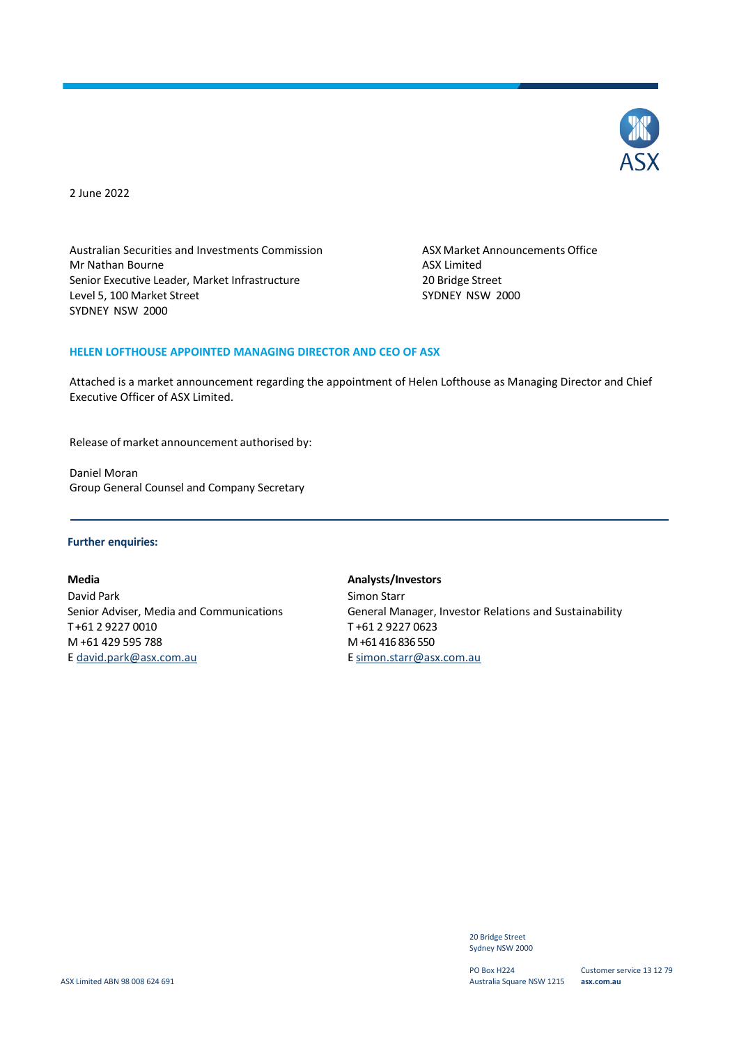

2 June 2022

Australian Securities and Investments Commission<br>
Mr Nathan Bourne<br>
Mr Nathan Bourne Mr Nathan Bourne Senior Executive Leader, Market Infrastructure 20 Bridge Street<br>
Level 5, 100 Market Street 2000 Level 5, 100 Market Street SYDNEY NSW 2000

#### **HELEN LOFTHOUSE APPOINTED MANAGING DIRECTOR AND CEO OF ASX**

Attached is a market announcement regarding the appointment of Helen Lofthouse as Managing Director and Chief Executive Officer of ASX Limited.

Release of market announcement authorised by:

Daniel Moran Group General Counsel and Company Secretary

#### **Further enquiries:**

David Park **Simon Starr** Simon Starr T +61 2 9227 0010 T +61 2 9227 0623 M +61 429 595 788 [E david.park@asx.com.au](mailto:david.park@asx.com.au)

**Media Analysts/Investors** Senior Adviser, Media and Communications General Manager, Investor Relations and Sustainability M +61 416 836 550 E [simon.starr@asx.com.au](mailto:simon.starr@asx.com.au)

> 20 Bridge Street Sydney NSW 2000

PO Box H224 Australia Square NSW 1215

Customer service 13 12 79 **asx.com.au**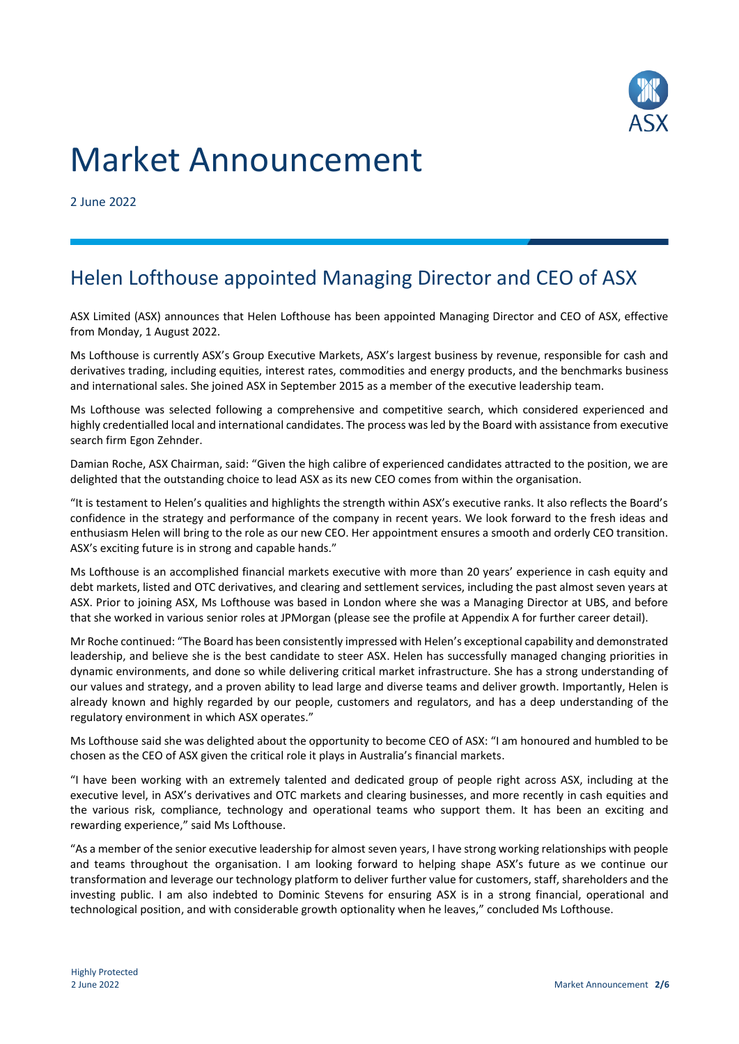

# Market Announcement

2 June 2022

## Helen Lofthouse appointed Managing Director and CEO of ASX

ASX Limited (ASX) announces that Helen Lofthouse has been appointed Managing Director and CEO of ASX, effective from Monday, 1 August 2022.

Ms Lofthouse is currently ASX's Group Executive Markets, ASX's largest business by revenue, responsible for cash and derivatives trading, including equities, interest rates, commodities and energy products, and the benchmarks business and international sales. She joined ASX in September 2015 as a member of the executive leadership team.

Ms Lofthouse was selected following a comprehensive and competitive search, which considered experienced and highly credentialled local and international candidates. The process was led by the Board with assistance from executive search firm Egon Zehnder.

Damian Roche, ASX Chairman, said: "Given the high calibre of experienced candidates attracted to the position, we are delighted that the outstanding choice to lead ASX as its new CEO comes from within the organisation.

"It is testament to Helen's qualities and highlights the strength within ASX's executive ranks. It also reflects the Board's confidence in the strategy and performance of the company in recent years. We look forward to the fresh ideas and enthusiasm Helen will bring to the role as our new CEO. Her appointment ensures a smooth and orderly CEO transition. ASX's exciting future is in strong and capable hands."

Ms Lofthouse is an accomplished financial markets executive with more than 20 years' experience in cash equity and debt markets, listed and OTC derivatives, and clearing and settlement services, including the past almost seven years at ASX. Prior to joining ASX, Ms Lofthouse was based in London where she was a Managing Director at UBS, and before that she worked in various senior roles at JPMorgan (please see the profile at Appendix A for further career detail).

Mr Roche continued: "The Board has been consistently impressed with Helen's exceptional capability and demonstrated leadership, and believe she is the best candidate to steer ASX. Helen has successfully managed changing priorities in dynamic environments, and done so while delivering critical market infrastructure. She has a strong understanding of our values and strategy, and a proven ability to lead large and diverse teams and deliver growth. Importantly, Helen is already known and highly regarded by our people, customers and regulators, and has a deep understanding of the regulatory environment in which ASX operates."

Ms Lofthouse said she was delighted about the opportunity to become CEO of ASX: "I am honoured and humbled to be chosen as the CEO of ASX given the critical role it plays in Australia's financial markets.

"I have been working with an extremely talented and dedicated group of people right across ASX, including at the executive level, in ASX's derivatives and OTC markets and clearing businesses, and more recently in cash equities and the various risk, compliance, technology and operational teams who support them. It has been an exciting and rewarding experience," said Ms Lofthouse.

"As a member of the senior executive leadership for almost seven years, I have strong working relationships with people and teams throughout the organisation. I am looking forward to helping shape ASX's future as we continue our transformation and leverage our technology platform to deliver further value for customers, staff, shareholders and the investing public. I am also indebted to Dominic Stevens for ensuring ASX is in a strong financial, operational and technological position, and with considerable growth optionality when he leaves," concluded Ms Lofthouse.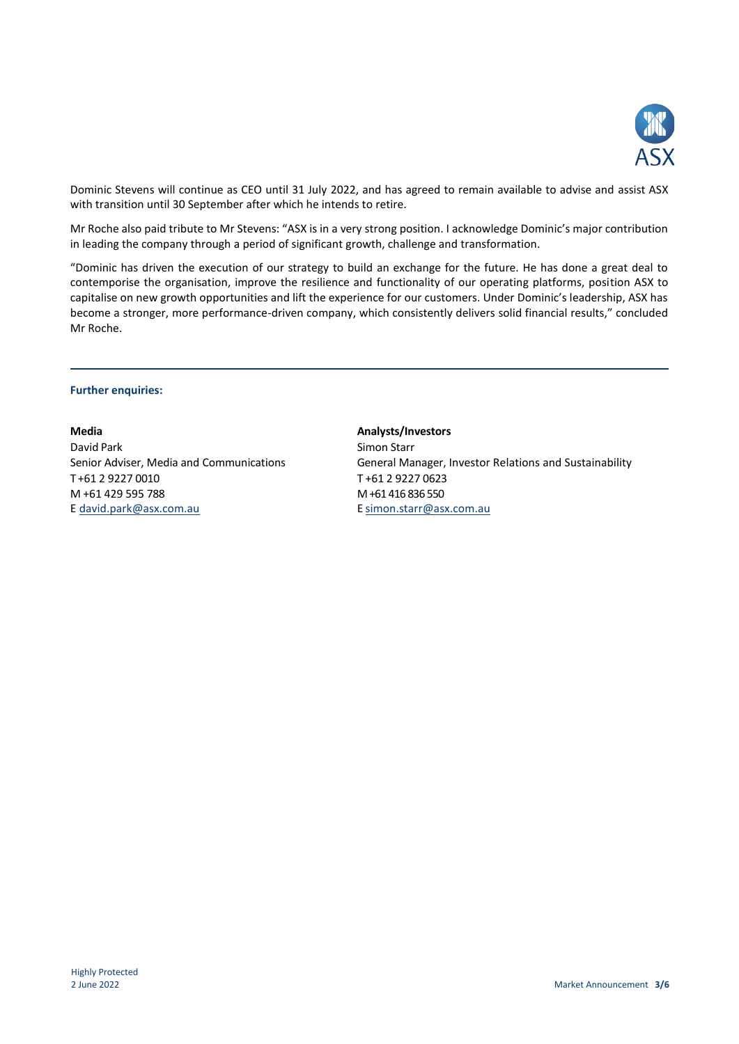

Dominic Stevens will continue as CEO until 31 July 2022, and has agreed to remain available to advise and assist ASX with transition until 30 September after which he intends to retire.

Mr Roche also paid tribute to Mr Stevens: "ASX is in a very strong position. I acknowledge Dominic's major contribution in leading the company through a period of significant growth, challenge and transformation.

"Dominic has driven the execution of our strategy to build an exchange for the future. He has done a great deal to contemporise the organisation, improve the resilience and functionality of our operating platforms, position ASX to capitalise on new growth opportunities and lift the experience for our customers. Under Dominic's leadership, ASX has become a stronger, more performance-driven company, which consistently delivers solid financial results," concluded Mr Roche.

#### **Further enquiries:**

David Park Simon Starr New York Simon Starr New York Simon Starr New York Simon Starr New York Simon Starr New York Simon Starr New York Simon Starr New York Simon Starr New York Simon Starr New York Simon Starr New York S T +61 2 9227 0010 T +61 2 9227 0623 M +61 429 595 788 E [david.park@asx.com.au](mailto:david.park@asx.com.au)

**Media Analysts/Investors** Senior Adviser, Media and Communications General Manager, Investor Relations and Sustainability M +61 416 836 550 E [simon.starr@asx.com.au](mailto:simon.starr@asx.com.au)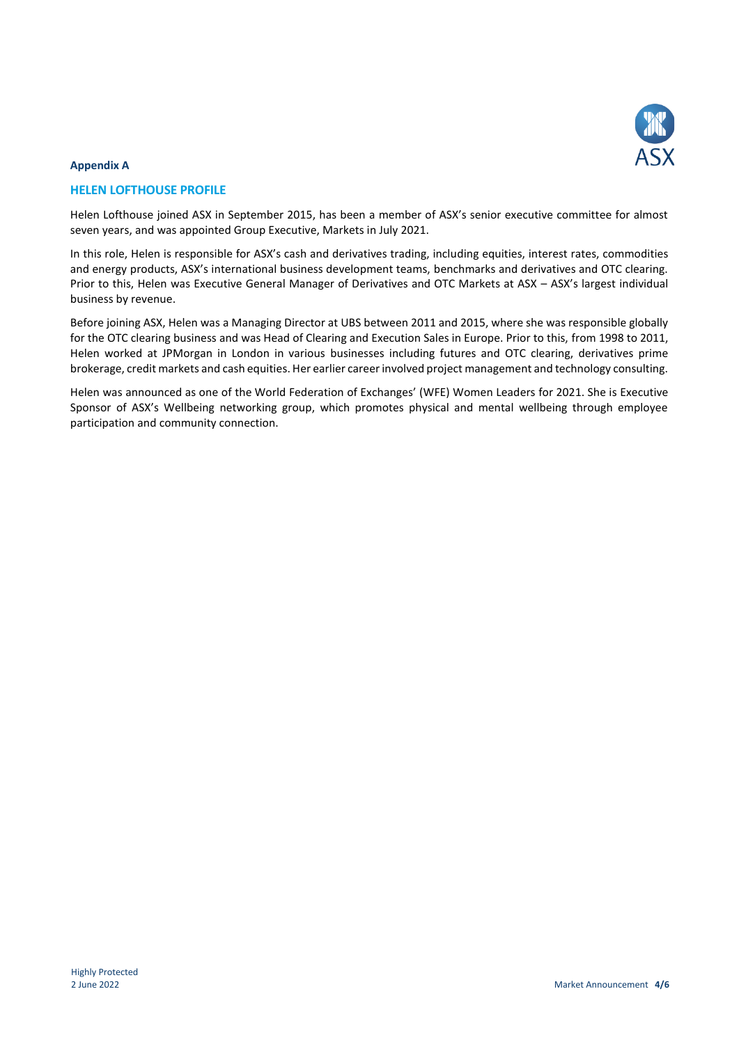

#### **Appendix A**

#### **HELEN LOFTHOUSE PROFILE**

Helen Lofthouse joined ASX in September 2015, has been a member of ASX's senior executive committee for almost seven years, and was appointed Group Executive, Markets in July 2021.

In this role, Helen is responsible for ASX's cash and derivatives trading, including equities, interest rates, commodities and energy products, ASX's international business development teams, benchmarks and derivatives and OTC clearing. Prior to this, Helen was Executive General Manager of Derivatives and OTC Markets at ASX – ASX's largest individual business by revenue.

Before joining ASX, Helen was a Managing Director at UBS between 2011 and 2015, where she was responsible globally for the OTC clearing business and was Head of Clearing and Execution Sales in Europe. Prior to this, from 1998 to 2011, Helen worked at JPMorgan in London in various businesses including futures and OTC clearing, derivatives prime brokerage, credit markets and cash equities. Her earlier career involved project management and technology consulting.

Helen was announced as one of the World Federation of Exchanges' (WFE) Women Leaders for 2021. She is Executive Sponsor of ASX's Wellbeing networking group, which promotes physical and mental wellbeing through employee participation and community connection.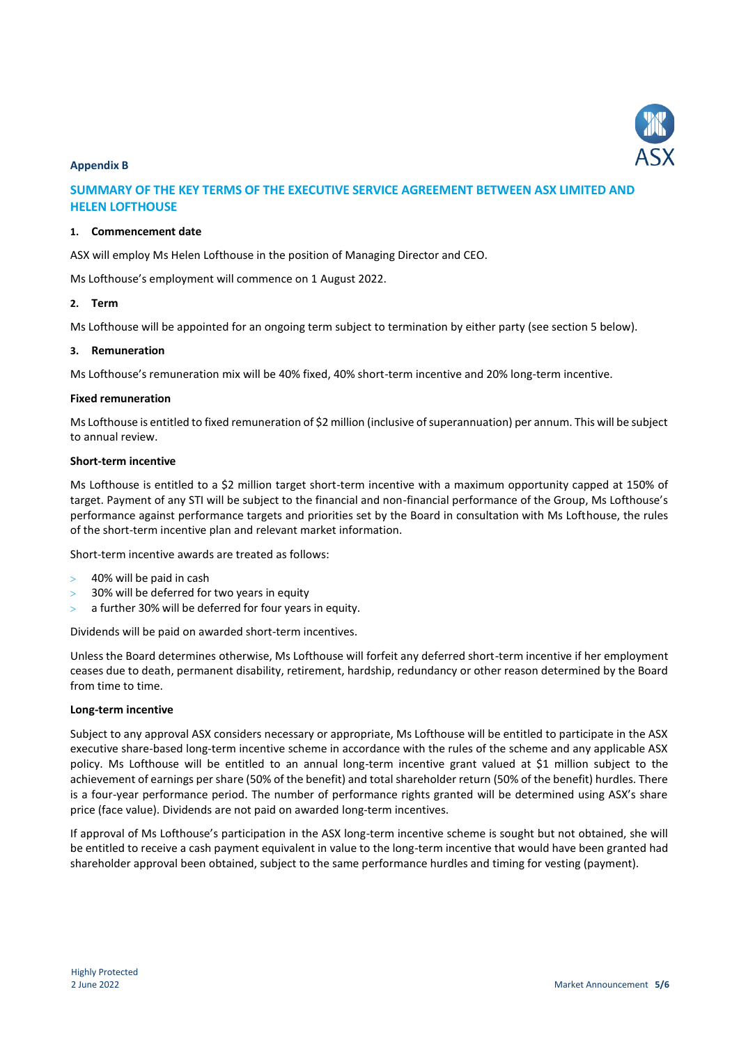

#### **Appendix B**

## **SUMMARY OF THE KEY TERMS OF THE EXECUTIVE SERVICE AGREEMENT BETWEEN ASX LIMITED AND HELEN LOFTHOUSE**

#### **1. Commencement date**

ASX will employ Ms Helen Lofthouse in the position of Managing Director and CEO.

Ms Lofthouse's employment will commence on 1 August 2022.

#### **2. Term**

Ms Lofthouse will be appointed for an ongoing term subject to termination by either party (see section 5 below).

#### **3. Remuneration**

Ms Lofthouse's remuneration mix will be 40% fixed, 40% short-term incentive and 20% long-term incentive.

#### **Fixed remuneration**

Ms Lofthouse is entitled to fixed remuneration of \$2 million (inclusive of superannuation) per annum. This will be subject to annual review.

#### **Short-term incentive**

Ms Lofthouse is entitled to a \$2 million target short-term incentive with a maximum opportunity capped at 150% of target. Payment of any STI will be subject to the financial and non-financial performance of the Group, Ms Lofthouse's performance against performance targets and priorities set by the Board in consultation with Ms Lofthouse, the rules of the short-term incentive plan and relevant market information.

Short-term incentive awards are treated as follows:

- 40% will be paid in cash
- 30% will be deferred for two years in equity
- a further 30% will be deferred for four years in equity.

Dividends will be paid on awarded short-term incentives.

Unless the Board determines otherwise, Ms Lofthouse will forfeit any deferred short-term incentive if her employment ceases due to death, permanent disability, retirement, hardship, redundancy or other reason determined by the Board from time to time.

#### **Long-term incentive**

Subject to any approval ASX considers necessary or appropriate, Ms Lofthouse will be entitled to participate in the ASX executive share-based long-term incentive scheme in accordance with the rules of the scheme and any applicable ASX policy. Ms Lofthouse will be entitled to an annual long-term incentive grant valued at \$1 million subject to the achievement of earnings per share (50% of the benefit) and total shareholder return (50% of the benefit) hurdles. There is a four-year performance period. The number of performance rights granted will be determined using ASX's share price (face value). Dividends are not paid on awarded long-term incentives.

If approval of Ms Lofthouse's participation in the ASX long-term incentive scheme is sought but not obtained, she will be entitled to receive a cash payment equivalent in value to the long-term incentive that would have been granted had shareholder approval been obtained, subject to the same performance hurdles and timing for vesting (payment).